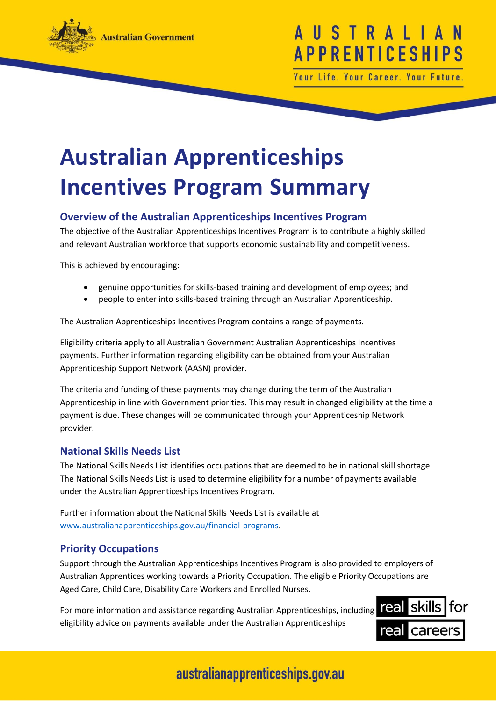

# USTRAL **APPRENTICESHI**

Your Life. Your Career. Your Future

# **Australian Apprenticeships Incentives Program Summary**

### **Overview of the Australian Apprenticeships Incentives Program**

The objective of the Australian Apprenticeships Incentives Program is to contribute a highly skilled and relevant Australian workforce that supports economic sustainability and competitiveness.

This is achieved by encouraging:

- genuine opportunities for skills-based training and development of employees; and
- people to enter into skills-based training through an Australian Apprenticeship.

The Australian Apprenticeships Incentives Program contains a range of payments.

Eligibility criteria apply to all Australian Government Australian Apprenticeships Incentives payments. Further information regarding eligibility can be obtained from your Australian Apprenticeship Support Network (AASN) provider.

The criteria and funding of these payments may change during the term of the Australian Apprenticeship in line with Government priorities. This may result in changed eligibility at the time a payment is due. These changes will be communicated through your Apprenticeship Network provider.

#### **National Skills Needs List**

The National Skills Needs List identifies occupations that are deemed to be in national skill shortage. The National Skills Needs List is used to determine eligibility for a number of payments available under the Australian Apprenticeships Incentives Program.

Further information about the National Skills Needs List is available at [www.australianapprenticeships.gov.au/financial-programs.](http://www.australianapprenticeships.gov.au/financial-programs)

#### **Priority Occupations**

Support through the Australian Apprenticeships Incentives Program is also provided to employers of Australian Apprentices working towards a Priority Occupation. The eligible Priority Occupations are Aged Care, Child Care, Disability Care Workers and Enrolled Nurses.

For more information and assistance regarding Australian Apprenticeships, including eligibility advice on payments available under the Australian Apprenticeships

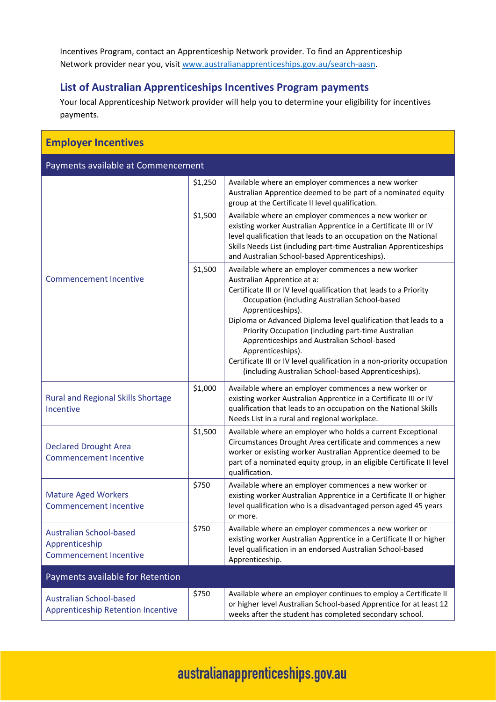Incentives Program, contact an Apprenticeship Network provider. To find an Apprenticeship Network provider near you, visit [www.australianapprenticeships.gov.au/search-aasn.](http://www.australianapprenticeships.gov.au/search-aasn)

### **List of Australian Apprenticeships Incentives Program payments**

Your local Apprenticeship Network provider will help you to determine your eligibility for incentives payments.

| <b>Employer Incentives</b>                                                        |         |                                                                                                                                                                                                                                                                                                                                                                                                                                                                                                                                                               |  |
|-----------------------------------------------------------------------------------|---------|---------------------------------------------------------------------------------------------------------------------------------------------------------------------------------------------------------------------------------------------------------------------------------------------------------------------------------------------------------------------------------------------------------------------------------------------------------------------------------------------------------------------------------------------------------------|--|
| Payments available at Commencement                                                |         |                                                                                                                                                                                                                                                                                                                                                                                                                                                                                                                                                               |  |
| <b>Commencement Incentive</b>                                                     | \$1,250 | Available where an employer commences a new worker<br>Australian Apprentice deemed to be part of a nominated equity<br>group at the Certificate II level qualification.                                                                                                                                                                                                                                                                                                                                                                                       |  |
|                                                                                   | \$1,500 | Available where an employer commences a new worker or<br>existing worker Australian Apprentice in a Certificate III or IV<br>level qualification that leads to an occupation on the National<br>Skills Needs List (including part-time Australian Apprenticeships<br>and Australian School-based Apprenticeships).                                                                                                                                                                                                                                            |  |
|                                                                                   | \$1,500 | Available where an employer commences a new worker<br>Australian Apprentice at a:<br>Certificate III or IV level qualification that leads to a Priority<br>Occupation (including Australian School-based<br>Apprenticeships).<br>Diploma or Advanced Diploma level qualification that leads to a<br>Priority Occupation (including part-time Australian<br>Apprenticeships and Australian School-based<br>Apprenticeships).<br>Certificate III or IV level qualification in a non-priority occupation<br>(including Australian School-based Apprenticeships). |  |
| <b>Rural and Regional Skills Shortage</b><br>Incentive                            | \$1,000 | Available where an employer commences a new worker or<br>existing worker Australian Apprentice in a Certificate III or IV<br>qualification that leads to an occupation on the National Skills<br>Needs List in a rural and regional workplace.                                                                                                                                                                                                                                                                                                                |  |
| <b>Declared Drought Area</b><br><b>Commencement Incentive</b>                     | \$1,500 | Available where an employer who holds a current Exceptional<br>Circumstances Drought Area certificate and commences a new<br>worker or existing worker Australian Apprentice deemed to be<br>part of a nominated equity group, in an eligible Certificate II level<br>qualification.                                                                                                                                                                                                                                                                          |  |
| <b>Mature Aged Workers</b><br><b>Commencement Incentive</b>                       | \$750   | Available where an employer commences a new worker or<br>existing worker Australian Apprentice in a Certificate II or higher<br>level qualification who is a disadvantaged person aged 45 years<br>or more.                                                                                                                                                                                                                                                                                                                                                   |  |
| <b>Australian School-based</b><br>Apprenticeship<br><b>Commencement Incentive</b> | \$750   | Available where an employer commences a new worker or<br>existing worker Australian Apprentice in a Certificate II or higher<br>level qualification in an endorsed Australian School-based<br>Apprenticeship.                                                                                                                                                                                                                                                                                                                                                 |  |
| Payments available for Retention                                                  |         |                                                                                                                                                                                                                                                                                                                                                                                                                                                                                                                                                               |  |
| <b>Australian School-based</b><br><b>Apprenticeship Retention Incentive</b>       | \$750   | Available where an employer continues to employ a Certificate II<br>or higher level Australian School-based Apprentice for at least 12<br>weeks after the student has completed secondary school.                                                                                                                                                                                                                                                                                                                                                             |  |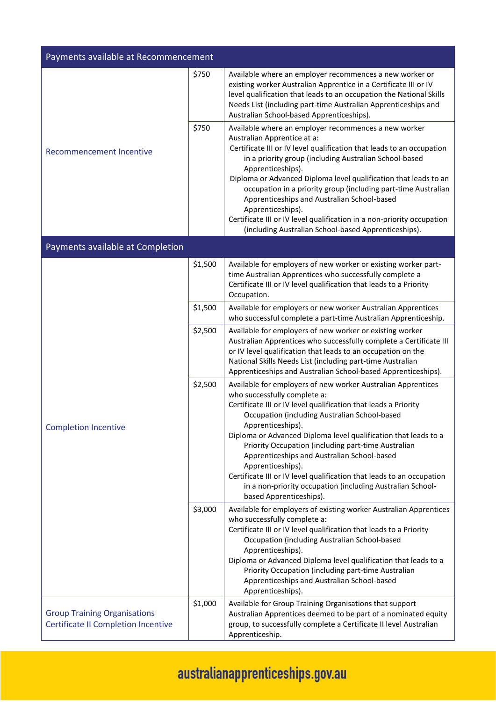| Payments available at Recommencement                                              |         |                                                                                                                                                                                                                                                                                                                                                                                                                                                                                                                                                                                                       |
|-----------------------------------------------------------------------------------|---------|-------------------------------------------------------------------------------------------------------------------------------------------------------------------------------------------------------------------------------------------------------------------------------------------------------------------------------------------------------------------------------------------------------------------------------------------------------------------------------------------------------------------------------------------------------------------------------------------------------|
| <b>Recommencement Incentive</b>                                                   | \$750   | Available where an employer recommences a new worker or<br>existing worker Australian Apprentice in a Certificate III or IV<br>level qualification that leads to an occupation the National Skills<br>Needs List (including part-time Australian Apprenticeships and<br>Australian School-based Apprenticeships).                                                                                                                                                                                                                                                                                     |
|                                                                                   | \$750   | Available where an employer recommences a new worker<br>Australian Apprentice at a:<br>Certificate III or IV level qualification that leads to an occupation<br>in a priority group (including Australian School-based<br>Apprenticeships).<br>Diploma or Advanced Diploma level qualification that leads to an<br>occupation in a priority group (including part-time Australian<br>Apprenticeships and Australian School-based<br>Apprenticeships).<br>Certificate III or IV level qualification in a non-priority occupation<br>(including Australian School-based Apprenticeships).               |
| Payments available at Completion                                                  |         |                                                                                                                                                                                                                                                                                                                                                                                                                                                                                                                                                                                                       |
|                                                                                   | \$1,500 | Available for employers of new worker or existing worker part-<br>time Australian Apprentices who successfully complete a<br>Certificate III or IV level qualification that leads to a Priority<br>Occupation.                                                                                                                                                                                                                                                                                                                                                                                        |
|                                                                                   | \$1,500 | Available for employers or new worker Australian Apprentices<br>who successful complete a part-time Australian Apprenticeship.                                                                                                                                                                                                                                                                                                                                                                                                                                                                        |
| <b>Completion Incentive</b>                                                       | \$2,500 | Available for employers of new worker or existing worker<br>Australian Apprentices who successfully complete a Certificate III<br>or IV level qualification that leads to an occupation on the<br>National Skills Needs List (including part-time Australian<br>Apprenticeships and Australian School-based Apprenticeships).                                                                                                                                                                                                                                                                         |
|                                                                                   | \$2,500 | Available for employers of new worker Australian Apprentices<br>who successfully complete a:<br>Certificate III or IV level qualification that leads a Priority<br>Occupation (including Australian School-based<br>Apprenticeships).<br>Diploma or Advanced Diploma level qualification that leads to a<br>Priority Occupation (including part-time Australian<br>Apprenticeships and Australian School-based<br>Apprenticeships).<br>Certificate III or IV level qualification that leads to an occupation<br>in a non-priority occupation (including Australian School-<br>based Apprenticeships). |
|                                                                                   | \$3,000 | Available for employers of existing worker Australian Apprentices<br>who successfully complete a:<br>Certificate III or IV level qualification that leads to a Priority<br>Occupation (including Australian School-based<br>Apprenticeships).<br>Diploma or Advanced Diploma level qualification that leads to a<br>Priority Occupation (including part-time Australian<br>Apprenticeships and Australian School-based<br>Apprenticeships).                                                                                                                                                           |
| <b>Group Training Organisations</b><br><b>Certificate II Completion Incentive</b> | \$1,000 | Available for Group Training Organisations that support<br>Australian Apprentices deemed to be part of a nominated equity<br>group, to successfully complete a Certificate II level Australian<br>Apprenticeship.                                                                                                                                                                                                                                                                                                                                                                                     |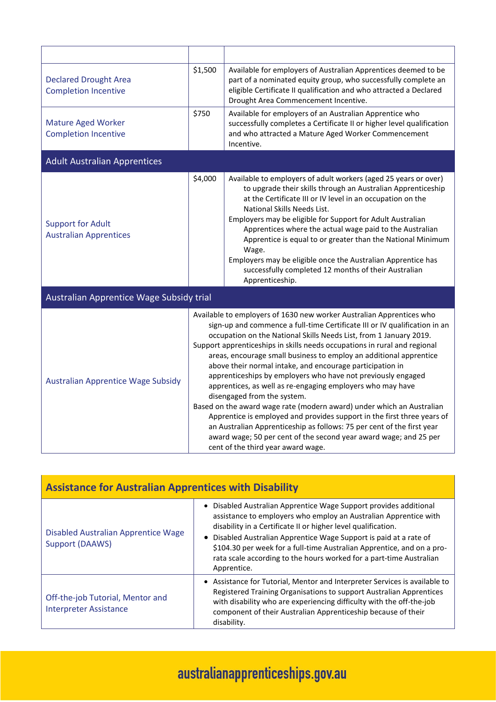| <b>Declared Drought Area</b><br><b>Completion Incentive</b> | \$1,500                                                                                                                                                                                                                                                                                                                                                                                                                                                                                                                                                                                                                                                                                                                                                                                                                                                                                                                                        | Available for employers of Australian Apprentices deemed to be<br>part of a nominated equity group, who successfully complete an<br>eligible Certificate II qualification and who attracted a Declared<br>Drought Area Commencement Incentive.                                                                                                                                                                                                                                                                                                                            |
|-------------------------------------------------------------|------------------------------------------------------------------------------------------------------------------------------------------------------------------------------------------------------------------------------------------------------------------------------------------------------------------------------------------------------------------------------------------------------------------------------------------------------------------------------------------------------------------------------------------------------------------------------------------------------------------------------------------------------------------------------------------------------------------------------------------------------------------------------------------------------------------------------------------------------------------------------------------------------------------------------------------------|---------------------------------------------------------------------------------------------------------------------------------------------------------------------------------------------------------------------------------------------------------------------------------------------------------------------------------------------------------------------------------------------------------------------------------------------------------------------------------------------------------------------------------------------------------------------------|
| <b>Mature Aged Worker</b><br><b>Completion Incentive</b>    | \$750                                                                                                                                                                                                                                                                                                                                                                                                                                                                                                                                                                                                                                                                                                                                                                                                                                                                                                                                          | Available for employers of an Australian Apprentice who<br>successfully completes a Certificate II or higher level qualification<br>and who attracted a Mature Aged Worker Commencement<br>Incentive.                                                                                                                                                                                                                                                                                                                                                                     |
| <b>Adult Australian Apprentices</b>                         |                                                                                                                                                                                                                                                                                                                                                                                                                                                                                                                                                                                                                                                                                                                                                                                                                                                                                                                                                |                                                                                                                                                                                                                                                                                                                                                                                                                                                                                                                                                                           |
| <b>Support for Adult</b><br><b>Australian Apprentices</b>   | \$4,000                                                                                                                                                                                                                                                                                                                                                                                                                                                                                                                                                                                                                                                                                                                                                                                                                                                                                                                                        | Available to employers of adult workers (aged 25 years or over)<br>to upgrade their skills through an Australian Apprenticeship<br>at the Certificate III or IV level in an occupation on the<br>National Skills Needs List.<br>Employers may be eligible for Support for Adult Australian<br>Apprentices where the actual wage paid to the Australian<br>Apprentice is equal to or greater than the National Minimum<br>Wage.<br>Employers may be eligible once the Australian Apprentice has<br>successfully completed 12 months of their Australian<br>Apprenticeship. |
| Australian Apprentice Wage Subsidy trial                    |                                                                                                                                                                                                                                                                                                                                                                                                                                                                                                                                                                                                                                                                                                                                                                                                                                                                                                                                                |                                                                                                                                                                                                                                                                                                                                                                                                                                                                                                                                                                           |
| <b>Australian Apprentice Wage Subsidy</b>                   | Available to employers of 1630 new worker Australian Apprentices who<br>sign-up and commence a full-time Certificate III or IV qualification in an<br>occupation on the National Skills Needs List, from 1 January 2019.<br>Support apprenticeships in skills needs occupations in rural and regional<br>areas, encourage small business to employ an additional apprentice<br>above their normal intake, and encourage participation in<br>apprenticeships by employers who have not previously engaged<br>apprentices, as well as re-engaging employers who may have<br>disengaged from the system.<br>Based on the award wage rate (modern award) under which an Australian<br>Apprentice is employed and provides support in the first three years of<br>an Australian Apprenticeship as follows: 75 per cent of the first year<br>award wage; 50 per cent of the second year award wage; and 25 per<br>cent of the third year award wage. |                                                                                                                                                                                                                                                                                                                                                                                                                                                                                                                                                                           |

| <b>Assistance for Australian Apprentices with Disability</b>      |                                                                                                                                                                                                                                                                                                                                                                                                                                                         |  |  |
|-------------------------------------------------------------------|---------------------------------------------------------------------------------------------------------------------------------------------------------------------------------------------------------------------------------------------------------------------------------------------------------------------------------------------------------------------------------------------------------------------------------------------------------|--|--|
| Disabled Australian Apprentice Wage<br>Support (DAAWS)            | Disabled Australian Apprentice Wage Support provides additional<br>$\bullet$<br>assistance to employers who employ an Australian Apprentice with<br>disability in a Certificate II or higher level qualification.<br>• Disabled Australian Apprentice Wage Support is paid at a rate of<br>\$104.30 per week for a full-time Australian Apprentice, and on a pro-<br>rata scale according to the hours worked for a part-time Australian<br>Apprentice. |  |  |
| Off-the-job Tutorial, Mentor and<br><b>Interpreter Assistance</b> | • Assistance for Tutorial, Mentor and Interpreter Services is available to<br>Registered Training Organisations to support Australian Apprentices<br>with disability who are experiencing difficulty with the off-the-job<br>component of their Australian Apprenticeship because of their<br>disability.                                                                                                                                               |  |  |